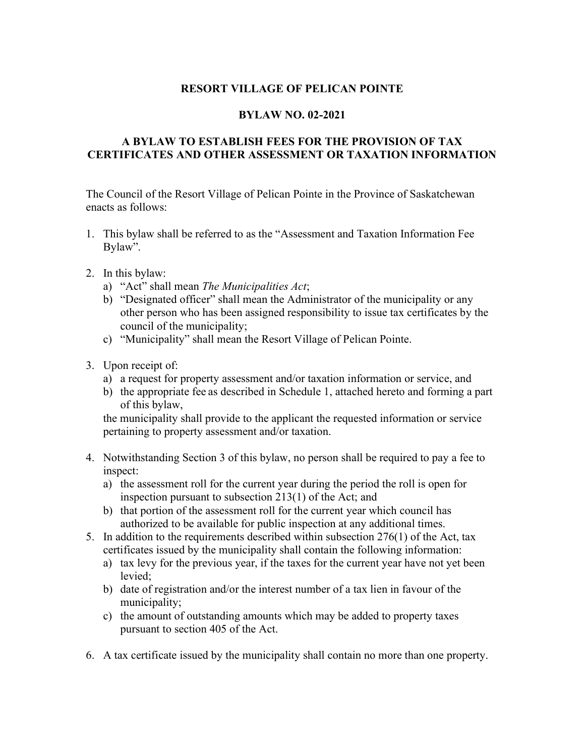#### RESORT VILLAGE OF PELICAN POINTE

#### BYLAW NO. 02-2021

### A BYLAW TO ESTABLISH FEES FOR THE PROVISION OF TAX CERTIFICATES AND OTHER ASSESSMENT OR TAXATION INFORMATION

The Council of the Resort Village of Pelican Pointe in the Province of Saskatchewan enacts as follows:

- 1. This bylaw shall be referred to as the "Assessment and Taxation Information Fee Bylaw".
- 2. In this bylaw:
	- a) "Act" shall mean The Municipalities Act;
	- b) "Designated officer" shall mean the Administrator of the municipality or any other person who has been assigned responsibility to issue tax certificates by the council of the municipality;
	- c) "Municipality" shall mean the Resort Village of Pelican Pointe.
- 3. Upon receipt of:
	- a) a request for property assessment and/or taxation information or service, and
	- b) the appropriate fee as described in Schedule 1, attached hereto and forming a part of this bylaw,

the municipality shall provide to the applicant the requested information or service pertaining to property assessment and/or taxation.

- 4. Notwithstanding Section 3 of this bylaw, no person shall be required to pay a fee to inspect:
	- a) the assessment roll for the current year during the period the roll is open for inspection pursuant to subsection 213(1) of the Act; and
	- b) that portion of the assessment roll for the current year which council has authorized to be available for public inspection at any additional times.
- 5. In addition to the requirements described within subsection 276(1) of the Act, tax certificates issued by the municipality shall contain the following information:
	- a) tax levy for the previous year, if the taxes for the current year have not yet been levied;
	- b) date of registration and/or the interest number of a tax lien in favour of the municipality;
	- c) the amount of outstanding amounts which may be added to property taxes pursuant to section 405 of the Act.
- 6. A tax certificate issued by the municipality shall contain no more than one property.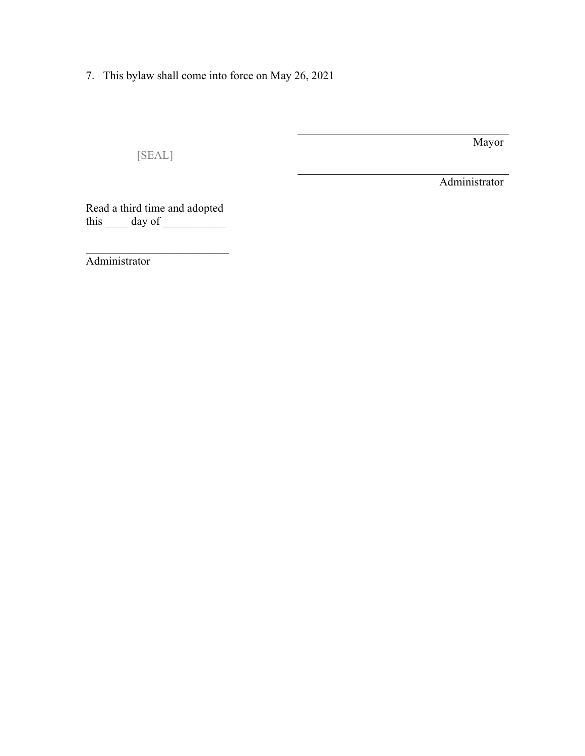7. This bylaw shall come into force on May 26, 2021

[SEAL]

Mayor

Administrator

Read a third time and adopted this  $\_\_\_\_\_\_\$  day of

Administrator